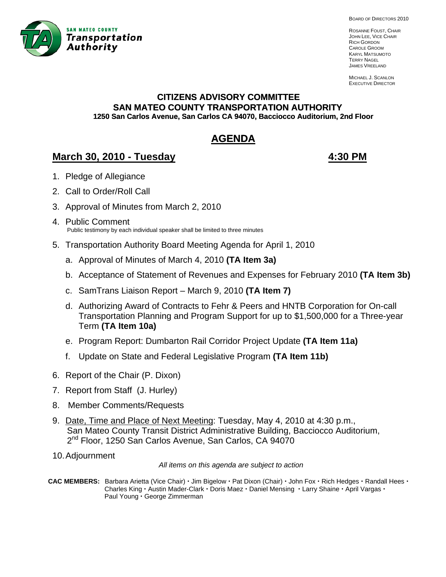

BOARD OF DIRECTORS 2010

ROSANNE FOUST, CHAIR JOHN LEE, VICE CHAIR RICH GORDON CAROLE GROOM KARYL MATSUMOTO TERRY NAGEL JAMES VREELAND

MICHAEL J. SCANLON EXECUTIVE DIRECTOR

# **CITIZENS ADVISORY COMMITTEE SAN MATEO COUNTY TRANSPORTATION AUTHORITY 1250 San Carlos Avenue, San Carlos CA 94070, Bacciocco Auditorium, 2nd Floor**

# **AGENDA**

# **March 30, 2010 - Tuesday 4:30 PM**

- 1. Pledge of Allegiance
- 2. Call to Order/Roll Call
- 3. Approval of Minutes from March 2, 2010 Ì
- 4. Public Comment Public testimony by each individual speaker shall be limited to three minutes
- 5. Transportation Authority Board Meeting Agenda for April 1, 2010
	- a. Approval of Minutes of March 4, 2010 **(TA Item 3a)**
	- b. Acceptance of Statement of Revenues and Expenses for February 2010 **(TA Item 3b)**
	- c. SamTrans Liaison Report March 9, 2010 **(TA Item 7)**
	- d. Authorizing Award of Contracts to Fehr & Peers and HNTB Corporation for On-call Transportation Planning and Program Support for up to \$1,500,000 for a Three-year Term **(TA Item 10a)**
	- e. Program Report: Dumbarton Rail Corridor Project Update **(TA Item 11a)**
	- f. Update on State and Federal Legislative Program **(TA Item 11b)**
- 6. Report of the Chair (P. Dixon)
- 7. Report from Staff (J. Hurley)
- 8. Member Comments/Requests
- 9. Date, Time and Place of Next Meeting: Tuesday, May 4, 2010 at 4:30 p.m., San Mateo County Transit District Administrative Building, Bacciocco Auditorium, 2<sup>nd</sup> Floor, 1250 San Carlos Avenue, San Carlos, CA 94070
- 10. Adjournment

*All items on this agenda are subject to action* 

CAC MEMBERS: Barbara Arietta (Vice Chair) · Jim Bigelow · Pat Dixon (Chair) · John Fox · Rich Hedges · Randall Hees · **Charles King · Austin Mader-Clark · Doris Maez · Daniel Mensing · Larry Shaine · April Vargas ·** Paul Young · George Zimmerman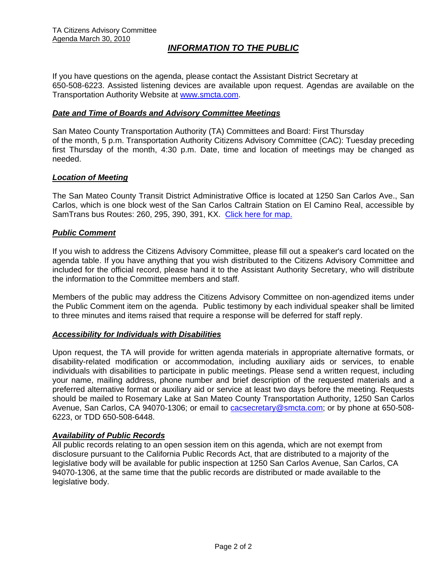## *INFORMATION TO THE PUBLIC*

If you have questions on the agenda, please contact the Assistant District Secretary at 650-508-6223. Assisted listening devices are available upon request. Agendas are available on the Transportation Authority Website at [www.smcta.com.](http://www.smcta.com/)

#### *Date and Time of Boards and Advisory Committee Meetings*

San Mateo County Transportation Authority (TA) Committees and Board: First Thursday of the month, 5 p.m. Transportation Authority Citizens Advisory Committee (CAC): Tuesday preceding first Thursday of the month, 4:30 p.m. Date, time and location of meetings may be changed as needed.

#### *Location of Meeting*

The San Mateo County Transit District Administrative Office is located at 1250 San Carlos Ave., San Carlos, which is one block west of the San Carlos Caltrain Station on El Camino Real, accessible by SamTrans bus Routes: 260, 295, 390, 391, KX. [Click here for map.](http://maps.google.com/maps?f=q&hl=en&geocode=&q=1250+San+Carlos+Ave,+San+Carlos,+CA+94070&sll=37.0625,-95.677068&sspn=33.077336,56.25&ie=UTF8&ll=37.507394,-122.261996&spn=0.008085,0.013733&z=16)

#### *Public Comment*

If you wish to address the Citizens Advisory Committee, please fill out a speaker's card located on the agenda table. If you have anything that you wish distributed to the Citizens Advisory Committee and included for the official record, please hand it to the Assistant Authority Secretary, who will distribute the information to the Committee members and staff.

Members of the public may address the Citizens Advisory Committee on non-agendized items under the Public Comment item on the agenda. Public testimony by each individual speaker shall be limited to three minutes and items raised that require a response will be deferred for staff reply.

#### *Accessibility for Individuals with Disabilities*

Upon request, the TA will provide for written agenda materials in appropriate alternative formats, or disability-related modification or accommodation, including auxiliary aids or services, to enable individuals with disabilities to participate in public meetings. Please send a written request, including your name, mailing address, phone number and brief description of the requested materials and a preferred alternative format or auxiliary aid or service at least two days before the meeting. Requests should be mailed to Rosemary Lake at San Mateo County Transportation Authority, 1250 San Carlos Avenue, San Carlos, CA 94070-1306; or email to [cacsecretary@smcta.com](mailto:cacsecretary@smcta.com); or by phone at 650-508- 6223, or TDD 650-508-6448.

#### *Availability of Public Records*

All public records relating to an open session item on this agenda, which are not exempt from disclosure pursuant to the California Public Records Act, that are distributed to a majority of the legislative body will be available for public inspection at 1250 San Carlos Avenue, San Carlos, CA 94070-1306, at the same time that the public records are distributed or made available to the legislative body.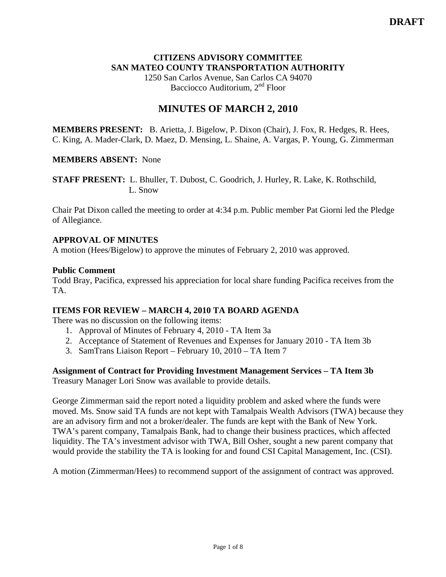### **CITIZENS ADVISORY COMMITTEE SAN MATEO COUNTY TRANSPORTATION AUTHORITY**

1250 San Carlos Avenue, San Carlos CA 94070 Bacciocco Auditorium, 2<sup>nd</sup> Floor

# **MINUTES OF MARCH 2, 2010**

**MEMBERS PRESENT:** B. Arietta, J. Bigelow, P. Dixon (Chair), J. Fox, R. Hedges, R. Hees, C. King, A. Mader-Clark, D. Maez, D. Mensing, L. Shaine, A. Vargas, P. Young, G. Zimmerman

### **MEMBERS ABSENT:** None

**STAFF PRESENT:** L. Bhuller, T. Dubost, C. Goodrich, J. Hurley, R. Lake, K. Rothschild, L. Snow

Chair Pat Dixon called the meeting to order at 4:34 p.m. Public member Pat Giorni led the Pledge of Allegiance.

### **APPROVAL OF MINUTES**

A motion (Hees/Bigelow) to approve the minutes of February 2, 2010 was approved.

#### **Public Comment**

Todd Bray, Pacifica, expressed his appreciation for local share funding Pacifica receives from the TA.

#### **ITEMS FOR REVIEW – MARCH 4, 2010 TA BOARD AGENDA**

There was no discussion on the following items:

- 1. Approval of Minutes of February 4, 2010 TA Item 3a
- 2. Acceptance of Statement of Revenues and Expenses for January 2010 TA Item 3b
- 3. SamTrans Liaison Report February 10, 2010 TA Item 7

## **Assignment of Contract for Providing Investment Management Services – TA Item 3b**

Treasury Manager Lori Snow was available to provide details.

George Zimmerman said the report noted a liquidity problem and asked where the funds were moved. Ms. Snow said TA funds are not kept with Tamalpais Wealth Advisors (TWA) because they are an advisory firm and not a broker/dealer. The funds are kept with the Bank of New York. TWA's parent company, Tamalpais Bank, had to change their business practices, which affected liquidity. The TA's investment advisor with TWA, Bill Osher, sought a new parent company that would provide the stability the TA is looking for and found CSI Capital Management, Inc. (CSI).

A motion (Zimmerman/Hees) to recommend support of the assignment of contract was approved.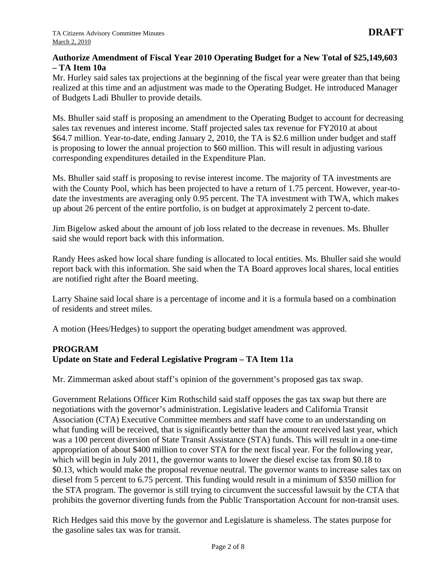### **Authorize Amendment of Fiscal Year 2010 Operating Budget for a New Total of \$25,149,603 – TA Item 10a**

Mr. Hurley said sales tax projections at the beginning of the fiscal year were greater than that being realized at this time and an adjustment was made to the Operating Budget. He introduced Manager of Budgets Ladi Bhuller to provide details.

Ms. Bhuller said staff is proposing an amendment to the Operating Budget to account for decreasing sales tax revenues and interest income. Staff projected sales tax revenue for FY2010 at about \$64.7 million. Year-to-date, ending January 2, 2010, the TA is \$2.6 million under budget and staff is proposing to lower the annual projection to \$60 million. This will result in adjusting various corresponding expenditures detailed in the Expenditure Plan.

Ms. Bhuller said staff is proposing to revise interest income. The majority of TA investments are with the County Pool, which has been projected to have a return of 1.75 percent. However, year-todate the investments are averaging only 0.95 percent. The TA investment with TWA, which makes up about 26 percent of the entire portfolio, is on budget at approximately 2 percent to-date.

Jim Bigelow asked about the amount of job loss related to the decrease in revenues. Ms. Bhuller said she would report back with this information.

Randy Hees asked how local share funding is allocated to local entities. Ms. Bhuller said she would report back with this information. She said when the TA Board approves local shares, local entities are notified right after the Board meeting.

Larry Shaine said local share is a percentage of income and it is a formula based on a combination of residents and street miles.

A motion (Hees/Hedges) to support the operating budget amendment was approved.

## **PROGRAM Update on State and Federal Legislative Program – TA Item 11a**

Mr. Zimmerman asked about staff's opinion of the government's proposed gas tax swap.

Government Relations Officer Kim Rothschild said staff opposes the gas tax swap but there are negotiations with the governor's administration. Legislative leaders and California Transit Association (CTA) Executive Committee members and staff have come to an understanding on what funding will be received, that is significantly better than the amount received last year, which was a 100 percent diversion of State Transit Assistance (STA) funds. This will result in a one-time appropriation of about \$400 million to cover STA for the next fiscal year. For the following year, which will begin in July 2011, the governor wants to lower the diesel excise tax from \$0.18 to \$0.13, which would make the proposal revenue neutral. The governor wants to increase sales tax on diesel from 5 percent to 6.75 percent. This funding would result in a minimum of \$350 million for the STA program. The governor is still trying to circumvent the successful lawsuit by the CTA that prohibits the governor diverting funds from the Public Transportation Account for non-transit uses.

Rich Hedges said this move by the governor and Legislature is shameless. The states purpose for the gasoline sales tax was for transit.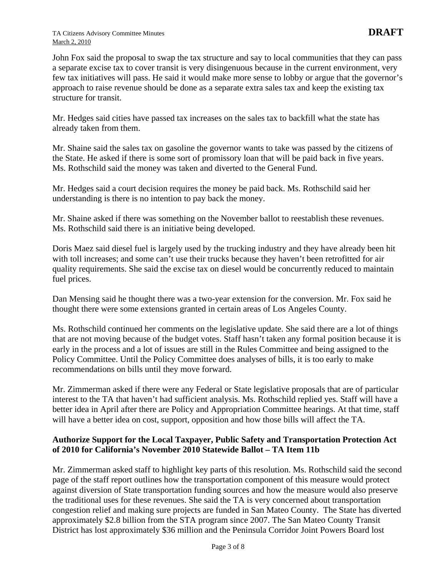John Fox said the proposal to swap the tax structure and say to local communities that they can pass a separate excise tax to cover transit is very disingenuous because in the current environment, very few tax initiatives will pass. He said it would make more sense to lobby or argue that the governor's approach to raise revenue should be done as a separate extra sales tax and keep the existing tax structure for transit.

Mr. Hedges said cities have passed tax increases on the sales tax to backfill what the state has already taken from them.

Mr. Shaine said the sales tax on gasoline the governor wants to take was passed by the citizens of the State. He asked if there is some sort of promissory loan that will be paid back in five years. Ms. Rothschild said the money was taken and diverted to the General Fund.

Mr. Hedges said a court decision requires the money be paid back. Ms. Rothschild said her understanding is there is no intention to pay back the money.

Mr. Shaine asked if there was something on the November ballot to reestablish these revenues. Ms. Rothschild said there is an initiative being developed.

Doris Maez said diesel fuel is largely used by the trucking industry and they have already been hit with toll increases; and some can't use their trucks because they haven't been retrofitted for air quality requirements. She said the excise tax on diesel would be concurrently reduced to maintain fuel prices.

Dan Mensing said he thought there was a two-year extension for the conversion. Mr. Fox said he thought there were some extensions granted in certain areas of Los Angeles County.

Ms. Rothschild continued her comments on the legislative update. She said there are a lot of things that are not moving because of the budget votes. Staff hasn't taken any formal position because it is early in the process and a lot of issues are still in the Rules Committee and being assigned to the Policy Committee. Until the Policy Committee does analyses of bills, it is too early to make recommendations on bills until they move forward.

Mr. Zimmerman asked if there were any Federal or State legislative proposals that are of particular interest to the TA that haven't had sufficient analysis. Ms. Rothschild replied yes. Staff will have a better idea in April after there are Policy and Appropriation Committee hearings. At that time, staff will have a better idea on cost, support, opposition and how those bills will affect the TA.

## **Authorize Support for the Local Taxpayer, Public Safety and Transportation Protection Act of 2010 for California's November 2010 Statewide Ballot – TA Item 11b**

Mr. Zimmerman asked staff to highlight key parts of this resolution. Ms. Rothschild said the second page of the staff report outlines how the transportation component of this measure would protect against diversion of State transportation funding sources and how the measure would also preserve the traditional uses for these revenues. She said the TA is very concerned about transportation congestion relief and making sure projects are funded in San Mateo County. The State has diverted approximately \$2.8 billion from the STA program since 2007. The San Mateo County Transit District has lost approximately \$36 million and the Peninsula Corridor Joint Powers Board lost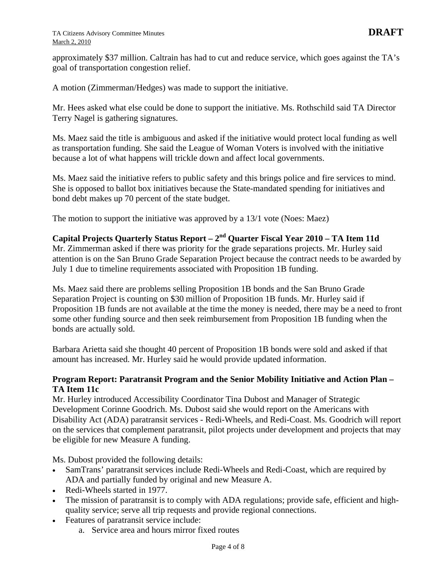approximately \$37 million. Caltrain has had to cut and reduce service, which goes against the TA's goal of transportation congestion relief.

A motion (Zimmerman/Hedges) was made to support the initiative.

Mr. Hees asked what else could be done to support the initiative. Ms. Rothschild said TA Director Terry Nagel is gathering signatures.

Ms. Maez said the title is ambiguous and asked if the initiative would protect local funding as well as transportation funding. She said the League of Woman Voters is involved with the initiative because a lot of what happens will trickle down and affect local governments.

Ms. Maez said the initiative refers to public safety and this brings police and fire services to mind. She is opposed to ballot box initiatives because the State-mandated spending for initiatives and bond debt makes up 70 percent of the state budget.

The motion to support the initiative was approved by a 13/1 vote (Noes: Maez)

# **Capital Projects Quarterly Status Report – 2nd Quarter Fiscal Year 2010 – TA Item 11d**

Mr. Zimmerman asked if there was priority for the grade separations projects. Mr. Hurley said attention is on the San Bruno Grade Separation Project because the contract needs to be awarded by July 1 due to timeline requirements associated with Proposition 1B funding.

Ms. Maez said there are problems selling Proposition 1B bonds and the San Bruno Grade Separation Project is counting on \$30 million of Proposition 1B funds. Mr. Hurley said if Proposition 1B funds are not available at the time the money is needed, there may be a need to front some other funding source and then seek reimbursement from Proposition 1B funding when the bonds are actually sold.

Barbara Arietta said she thought 40 percent of Proposition 1B bonds were sold and asked if that amount has increased. Mr. Hurley said he would provide updated information.

### **Program Report: Paratransit Program and the Senior Mobility Initiative and Action Plan – TA Item 11c**

Mr. Hurley introduced Accessibility Coordinator Tina Dubost and Manager of Strategic Development Corinne Goodrich. Ms. Dubost said she would report on the Americans with Disability Act (ADA) paratransit services - Redi-Wheels, and Redi-Coast. Ms. Goodrich will report on the services that complement paratransit, pilot projects under development and projects that may be eligible for new Measure A funding.

Ms. Dubost provided the following details:

- SamTrans' paratransit services include Redi-Wheels and Redi-Coast, which are required by ADA and partially funded by original and new Measure A.
- Redi-Wheels started in 1977.
- The mission of paratransit is to comply with ADA regulations; provide safe, efficient and highquality service; serve all trip requests and provide regional connections.
- Features of paratransit service include:
	- a. Service area and hours mirror fixed routes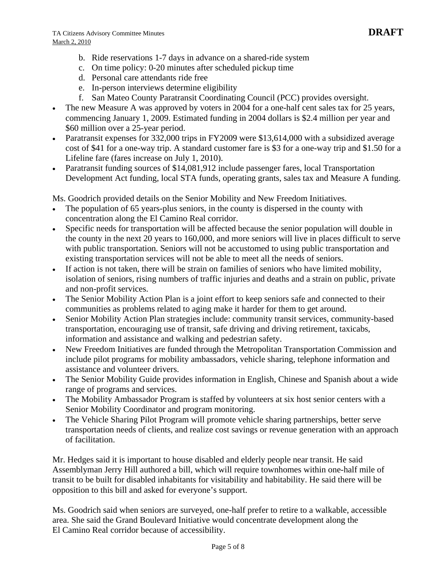- b. Ride reservations 1-7 days in advance on a shared-ride system
- c. On time policy: 0-20 minutes after scheduled pickup time
- d. Personal care attendants ride free
- e. In-person interviews determine eligibility
- f. San Mateo County Paratransit Coordinating Council (PCC) provides oversight.
- The new Measure A was approved by voters in 2004 for a one-half cent sales tax for 25 years, commencing January 1, 2009. Estimated funding in 2004 dollars is \$2.4 million per year and \$60 million over a 25-year period.
- Paratransit expenses for 332,000 trips in FY2009 were \$13,614,000 with a subsidized average cost of \$41 for a one-way trip. A standard customer fare is \$3 for a one-way trip and \$1.50 for a Lifeline fare (fares increase on July 1, 2010).
- Paratransit funding sources of \$14,081,912 include passenger fares, local Transportation Development Act funding, local STA funds, operating grants, sales tax and Measure A funding.

Ms. Goodrich provided details on the Senior Mobility and New Freedom Initiatives.

- The population of 65 years-plus seniors, in the county is dispersed in the county with concentration along the El Camino Real corridor.
- Specific needs for transportation will be affected because the senior population will double in the county in the next 20 years to 160,000, and more seniors will live in places difficult to serve with public transportation. Seniors will not be accustomed to using public transportation and existing transportation services will not be able to meet all the needs of seniors.
- If action is not taken, there will be strain on families of seniors who have limited mobility, isolation of seniors, rising numbers of traffic injuries and deaths and a strain on public, private and non-profit services.
- The Senior Mobility Action Plan is a joint effort to keep seniors safe and connected to their communities as problems related to aging make it harder for them to get around.
- Senior Mobility Action Plan strategies include: community transit services, community-based transportation, encouraging use of transit, safe driving and driving retirement, taxicabs, information and assistance and walking and pedestrian safety.
- New Freedom Initiatives are funded through the Metropolitan Transportation Commission and include pilot programs for mobility ambassadors, vehicle sharing, telephone information and assistance and volunteer drivers.
- The Senior Mobility Guide provides information in English, Chinese and Spanish about a wide range of programs and services.
- The Mobility Ambassador Program is staffed by volunteers at six host senior centers with a Senior Mobility Coordinator and program monitoring.
- The Vehicle Sharing Pilot Program will promote vehicle sharing partnerships, better serve transportation needs of clients, and realize cost savings or revenue generation with an approach of facilitation.

Mr. Hedges said it is important to house disabled and elderly people near transit. He said Assemblyman Jerry Hill authored a bill, which will require townhomes within one-half mile of transit to be built for disabled inhabitants for visitability and habitability. He said there will be opposition to this bill and asked for everyone's support.

Ms. Goodrich said when seniors are surveyed, one-half prefer to retire to a walkable, accessible area. She said the Grand Boulevard Initiative would concentrate development along the El Camino Real corridor because of accessibility.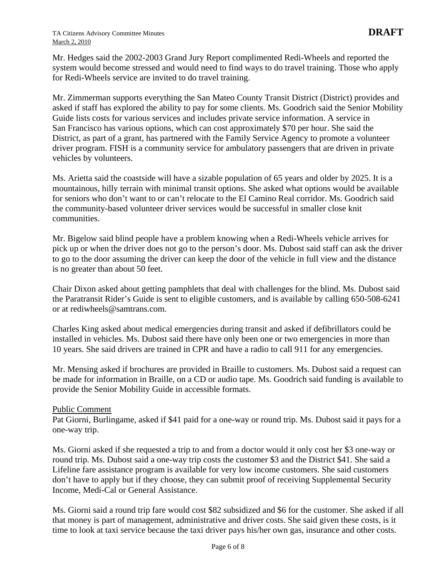Mr. Hedges said the 2002-2003 Grand Jury Report complimented Redi-Wheels and reported the system would become stressed and would need to find ways to do travel training. Those who apply for Redi-Wheels service are invited to do travel training.

Mr. Zimmerman supports everything the San Mateo County Transit District (District) provides and asked if staff has explored the ability to pay for some clients. Ms. Goodrich said the Senior Mobility Guide lists costs for various services and includes private service information. A service in San Francisco has various options, which can cost approximately \$70 per hour. She said the District, as part of a grant, has partnered with the Family Service Agency to promote a volunteer driver program. FISH is a community service for ambulatory passengers that are driven in private vehicles by volunteers.

Ms. Arietta said the coastside will have a sizable population of 65 years and older by 2025. It is a mountainous, hilly terrain with minimal transit options. She asked what options would be available for seniors who don't want to or can't relocate to the El Camino Real corridor. Ms. Goodrich said the community-based volunteer driver services would be successful in smaller close knit communities.

Mr. Bigelow said blind people have a problem knowing when a Redi-Wheels vehicle arrives for pick up or when the driver does not go to the person's door. Ms. Dubost said staff can ask the driver to go to the door assuming the driver can keep the door of the vehicle in full view and the distance is no greater than about 50 feet.

Chair Dixon asked about getting pamphlets that deal with challenges for the blind. Ms. Dubost said the Paratransit Rider's Guide is sent to eligible customers, and is available by calling 650-508-6241 or at [rediwheels@samtrans.com.](mailto:rediwheels@samtrans.com)

Charles King asked about medical emergencies during transit and asked if defibrillators could be installed in vehicles. Ms. Dubost said there have only been one or two emergencies in more than 10 years. She said drivers are trained in CPR and have a radio to call 911 for any emergencies.

Mr. Mensing asked if brochures are provided in Braille to customers. Ms. Dubost said a request can be made for information in Braille, on a CD or audio tape. Ms. Goodrich said funding is available to provide the Senior Mobility Guide in accessible formats.

#### Public Comment

Pat Giorni, Burlingame, asked if \$41 paid for a one-way or round trip. Ms. Dubost said it pays for a one-way trip.

Ms. Giorni asked if she requested a trip to and from a doctor would it only cost her \$3 one-way or round trip. Ms. Dubost said a one-way trip costs the customer \$3 and the District \$41. She said a Lifeline fare assistance program is available for very low income customers. She said customers don't have to apply but if they choose, they can submit proof of receiving Supplemental Security Income, Medi-Cal or General Assistance.

Ms. Giorni said a round trip fare would cost \$82 subsidized and \$6 for the customer. She asked if all that money is part of management, administrative and driver costs. She said given these costs, is it time to look at taxi service because the taxi driver pays his/her own gas, insurance and other costs.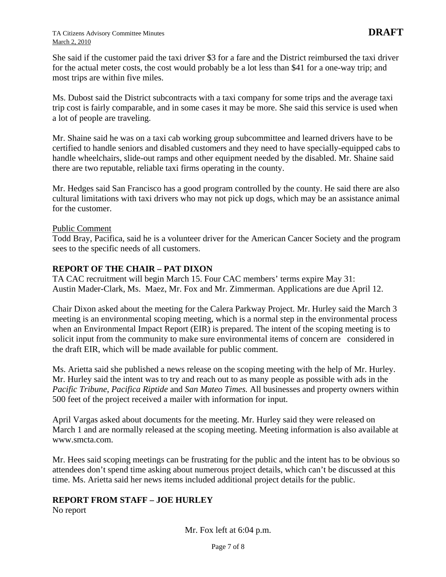She said if the customer paid the taxi driver \$3 for a fare and the District reimbursed the taxi driver for the actual meter costs, the cost would probably be a lot less than \$41 for a one-way trip; and most trips are within five miles.

Ms. Dubost said the District subcontracts with a taxi company for some trips and the average taxi trip cost is fairly comparable, and in some cases it may be more. She said this service is used when a lot of people are traveling.

Mr. Shaine said he was on a taxi cab working group subcommittee and learned drivers have to be certified to handle seniors and disabled customers and they need to have specially-equipped cabs to handle wheelchairs, slide-out ramps and other equipment needed by the disabled. Mr. Shaine said there are two reputable, reliable taxi firms operating in the county.

Mr. Hedges said San Francisco has a good program controlled by the county. He said there are also cultural limitations with taxi drivers who may not pick up dogs, which may be an assistance animal for the customer.

#### Public Comment

Todd Bray, Pacifica, said he is a volunteer driver for the American Cancer Society and the program sees to the specific needs of all customers.

#### **REPORT OF THE CHAIR – PAT DIXON**

TA CAC recruitment will begin March 15. Four CAC members' terms expire May 31: Austin Mader-Clark, Ms. Maez, Mr. Fox and Mr. Zimmerman. Applications are due April 12.

Chair Dixon asked about the meeting for the Calera Parkway Project. Mr. Hurley said the March 3 meeting is an environmental scoping meeting, which is a normal step in the environmental process when an Environmental Impact Report (EIR) is prepared. The intent of the scoping meeting is to solicit input from the community to make sure environmental items of concern are considered in the draft EIR, which will be made available for public comment.

Ms. Arietta said she published a news release on the scoping meeting with the help of Mr. Hurley. Mr. Hurley said the intent was to try and reach out to as many people as possible with ads in the *Pacific Tribune*, *Pacifica Riptide* and *San Mateo Times.* All businesses and property owners within 500 feet of the project received a mailer with information for input.

April Vargas asked about documents for the meeting. Mr. Hurley said they were released on March 1 and are normally released at the scoping meeting. Meeting information is also available at www.smcta.com.

Mr. Hees said scoping meetings can be frustrating for the public and the intent has to be obvious so attendees don't spend time asking about numerous project details, which can't be discussed at this time. Ms. Arietta said her news items included additional project details for the public.

#### **REPORT FROM STAFF – JOE HURLEY**

No report

Mr. Fox left at 6:04 p.m.